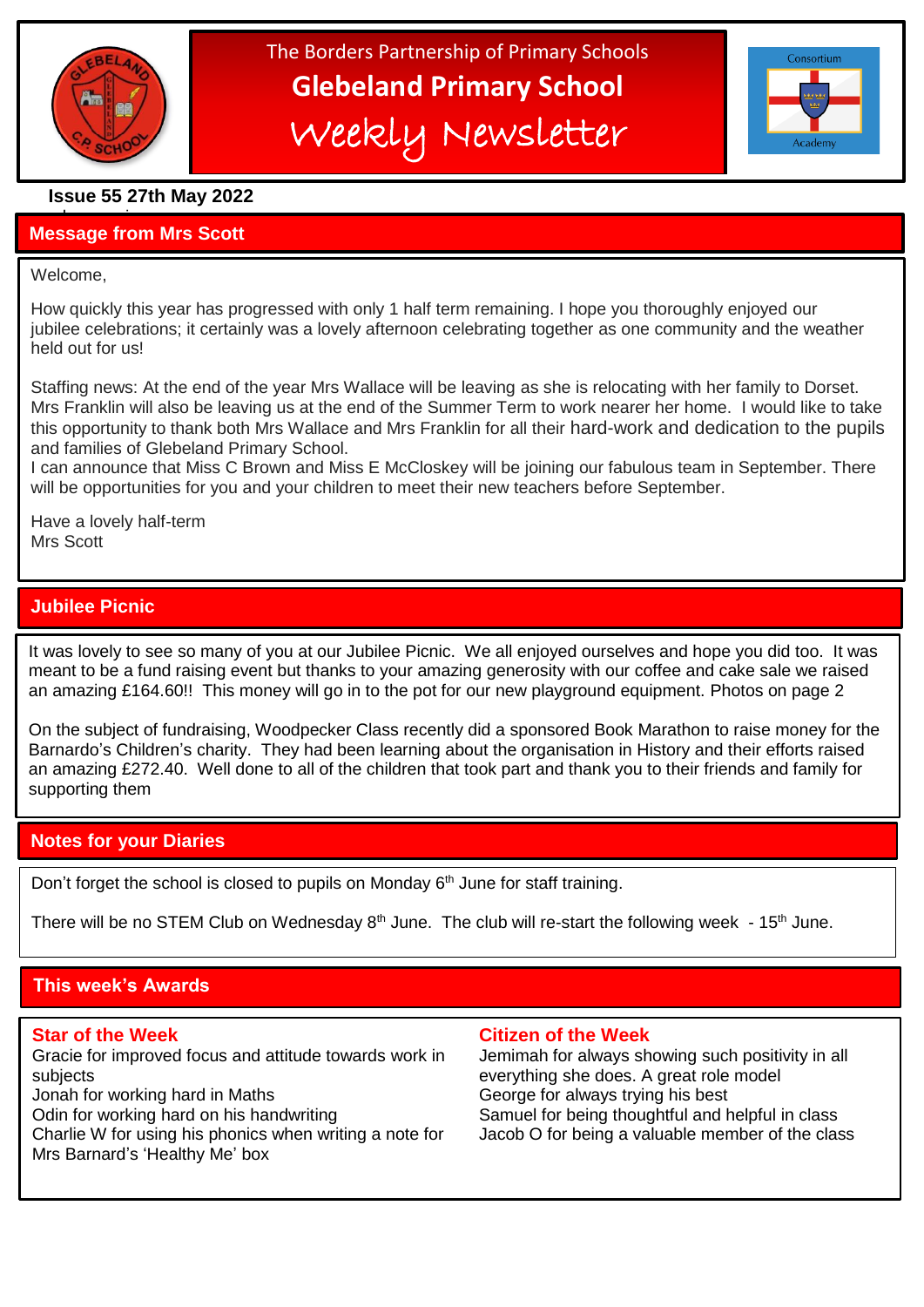

# The Borders Partnership of Primary Schools **Glebeland Primary School** Weekly Newsletter



# **Issue 55 27th May 2022**

### a bumper issues in the second second in the second second second in the second second second in the second second second second second second second second second second second second second second second second second sec **Message from Mrs Scott**

### Welcome,

֦

How quickly this year has progressed with only 1 half term remaining. I hope you thoroughly enjoyed our jubilee celebrations; it certainly was a lovely afternoon celebrating together as one community and the weather held out for us!

Staffing news: At the end of the year Mrs Wallace will be leaving as she is relocating with her family to Dorset. Mrs Franklin will also be leaving us at the end of the Summer Term to work nearer her home. I would like to take this opportunity to thank both Mrs Wallace and Mrs Franklin for all their hard-work and dedication to the pupils and families of Glebeland Primary School.

I can announce that Miss C Brown and Miss E McCloskey will be joining our fabulous team in September. There will be opportunities for you and your children to meet their new teachers before September.

Have a lovely half-term Mrs Scott

# **Jubilee Picnic**

 meant to be a fund raising event but thanks to your amazing generosity with our coffee and cake sale we raised It was lovely to see so many of you at our Jubilee Picnic. We all enjoyed ourselves and hope you did too. It was an amazing £164.60!! This money will go in to the pot for our new playground equipment. Photos on page 2

On the subject of fundraising, Woodpecker Class recently did a sponsored Book Marathon to raise money for the Barnardo's Children's charity. They had been learning about the organisation in History and their efforts raised an amazing £272.40. Well done to all of the children that took part and thank you to their friends and family for supporting them

# **Notes for your Diaries**

Don't forget the school is closed to pupils on Monday  $6<sup>th</sup>$  June for staff training.

There will be no STEM Club on Wednesday  $8<sup>th</sup>$  June. The club will re-start the following week - 15<sup>th</sup> June.

# **This week's Awards**

Gracie for improved focus and attitude towards work in Jemimah for always showing such positivity in all subjects everything she does. A great role model Jonah for working hard in Maths George for always trying his best

Charlie W for using his phonics when writing a note for Jacob O for being a valuable member of the class Mrs Barnard's 'Healthy Me' box

### **Star of the Week Citizen of the Week**

Odin for working hard on his handwriting Samuel for being thoughtful and helpful in class